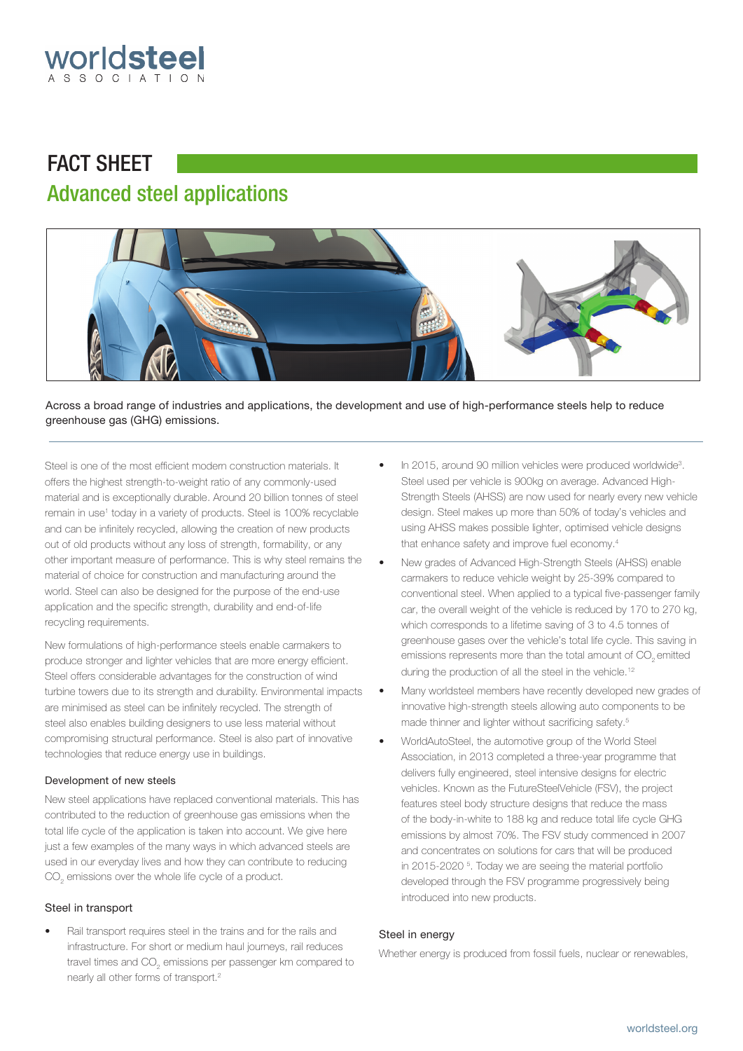

# FACT SHEET Advanced steel applications



Across a broad range of industries and applications, the development and use of high-performance steels help to reduce greenhouse gas (GHG) emissions.

Steel is one of the most efficient modern construction materials. It offers the highest strength-to-weight ratio of any commonly-used material and is exceptionally durable. Around 20 billion tonnes of steel remain in use<sup>1</sup> today in a variety of products. Steel is 100% recyclable and can be infinitely recycled, allowing the creation of new products out of old products without any loss of strength, formability, or any other important measure of performance. This is why steel remains the material of choice for construction and manufacturing around the world. Steel can also be designed for the purpose of the end-use application and the specific strength, durability and end-of-life recycling requirements.

New formulations of high-performance steels enable carmakers to produce stronger and lighter vehicles that are more energy efficient. Steel offers considerable advantages for the construction of wind turbine towers due to its strength and durability. Environmental impacts are minimised as steel can be infinitely recycled. The strength of steel also enables building designers to use less material without compromising structural performance. Steel is also part of innovative technologies that reduce energy use in buildings.

# Development of new steels

New steel applications have replaced conventional materials. This has contributed to the reduction of greenhouse gas emissions when the total life cycle of the application is taken into account. We give here just a few examples of the many ways in which advanced steels are used in our everyday lives and how they can contribute to reducing  $\mathrm{CO}_2^{}$  emissions over the whole life cycle of a product.

# Steel in transport

• Rail transport requires steel in the trains and for the rails and infrastructure. For short or medium haul journeys, rail reduces travel times and CO $_{_2}$  emissions per passenger km compared to nearly all other forms of transport.2

- In 2015, around 90 million vehicles were produced worldwide<sup>3</sup>. Steel used per vehicle is 900kg on average. Advanced High-Strength Steels (AHSS) are now used for nearly every new vehicle design. Steel makes up more than 50% of today's vehicles and using AHSS makes possible lighter, optimised vehicle designs that enhance safety and improve fuel economy.<sup>4</sup>
- New grades of Advanced High-Strength Steels (AHSS) enable carmakers to reduce vehicle weight by 25-39% compared to conventional steel. When applied to a typical five-passenger family car, the overall weight of the vehicle is reduced by 170 to 270 kg, which corresponds to a lifetime saving of 3 to 4.5 tonnes of greenhouse gases over the vehicle's total life cycle. This saving in emissions represents more than the total amount of  $\mathrm{CO}_2^{}$  emitted during the production of all the steel in the vehicle.<sup>12</sup>
- Many worldsteel members have recently developed new grades of innovative high-strength steels allowing auto components to be made thinner and lighter without sacrificing safety.<sup>5</sup>
- WorldAutoSteel, the automotive group of the World Steel Association, in 2013 completed a three-year programme that delivers fully engineered, steel intensive designs for electric vehicles. Known as the FutureSteelVehicle (FSV), the project features steel body structure designs that reduce the mass of the body-in-white to 188 kg and reduce total life cycle GHG emissions by almost 70%. The FSV study commenced in 2007 and concentrates on solutions for cars that will be produced in 2015-2020 <sup>5</sup> . Today we are seeing the material portfolio developed through the FSV programme progressively being introduced into new products.

# Steel in energy

Whether energy is produced from fossil fuels, nuclear or renewables,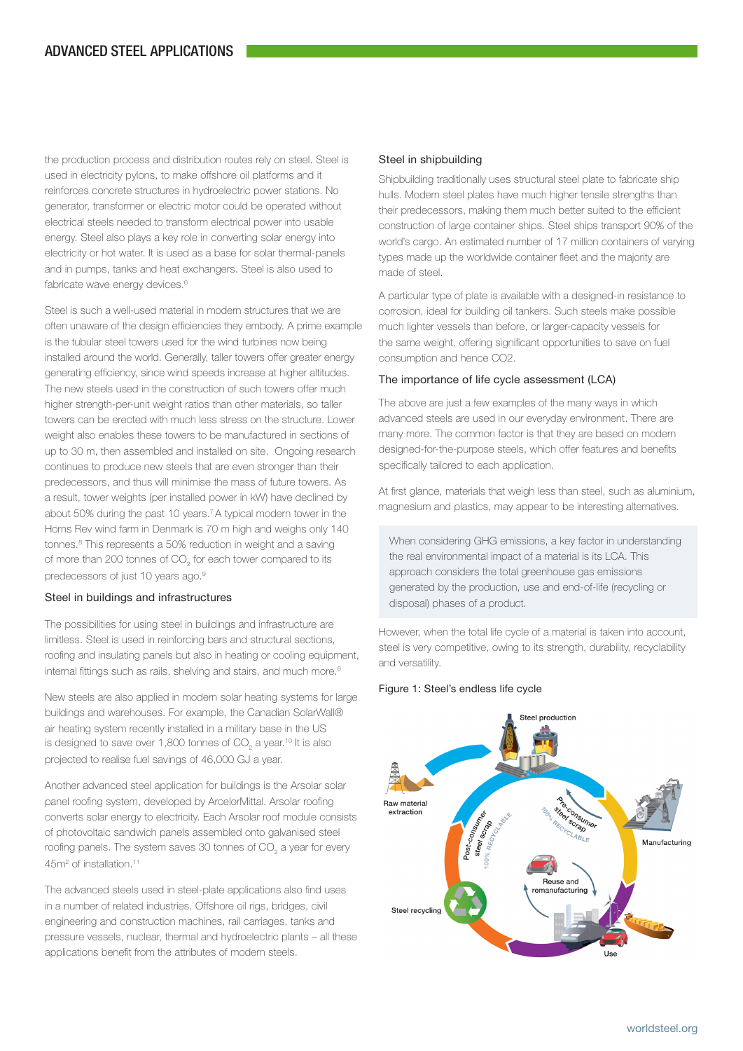the production process and distribution routes rely on steel. Steel is used in electricity pylons, to make offshore oil platforms and it reinforces concrete structures in hydroelectric power stations. No generator, transformer or electric motor could be operated without electrical steels needed to transform electrical power into usable energy. Steel also plays a key role in converting solar energy into electricity or hot water. It is used as a base for solar thermal-panels and in pumps, tanks and heat exchangers. Steel is also used to fabricate wave energy devices.<sup>6</sup>

Steel is such a well-used material in modern structures that we are often unaware of the design efficiencies they embody. A prime example is the tubular steel towers used for the wind turbines now being installed around the world. Generally, taller towers offer greater energy generating efficiency, since wind speeds increase at higher altitudes. The new steels used in the construction of such towers offer much higher strength-per-unit weight ratios than other materials, so taller towers can be erected with much less stress on the structure. Lower weight also enables these towers to be manufactured in sections of up to 30 m, then assembled and installed on site. Ongoing research continues to produce new steels that are even stronger than their predecessors, and thus will minimise the mass of future towers. As a result, tower weights (per installed power in kW) have declined by about 50% during the past 10 years.7 A typical modern tower in the Horns Rev wind farm in Denmark is 70 m high and weighs only 140 tonnes.<sup>8</sup> This represents a 50% reduction in weight and a saving of more than 200 tonnes of CO<sub>2</sub> for each tower compared to its predecessors of just 10 years ago.<sup>9</sup>

## Steel in buildings and infrastructures

The possibilities for using steel in buildings and infrastructure are limitless. Steel is used in reinforcing bars and structural sections, roofing and insulating panels but also in heating or cooling equipment, internal fittings such as rails, shelving and stairs, and much more.<sup>6</sup>

New steels are also applied in modern solar heating systems for large buildings and warehouses. For example, the Canadian SolarWall® air heating system recently installed in a military base in the US is designed to save over 1,800 tonnes of CO<sub>2</sub> a year.<sup>10</sup> It is also projected to realise fuel savings of 46,000 GJ a year.

Another advanced steel application for buildings is the Arsolar solar panel roofing system, developed by ArcelorMittal. Arsolar roofing converts solar energy to electricity. Each Arsolar roof module consists of photovoltaic sandwich panels assembled onto galvanised steel roofing panels. The system saves 30 tonnes of CO<sub>2</sub> a year for every 45m<sup>2</sup> of installation.<sup>11</sup>

The advanced steels used in steel-plate applications also find uses in a number of related industries. Offshore oil rigs, bridges, civil engineering and construction machines, rail carriages, tanks and pressure vessels, nuclear, thermal and hydroelectric plants – all these applications benefit from the attributes of modern steels.

# Steel in shipbuilding

Shipbuilding traditionally uses structural steel plate to fabricate ship hulls. Modern steel plates have much higher tensile strengths than their predecessors, making them much better suited to the efficient construction of large container ships. Steel ships transport 90% of the world's cargo. An estimated number of 17 million containers of varying types made up the worldwide container fleet and the majority are made of steel.

A particular type of plate is available with a designed-in resistance to corrosion, ideal for building oil tankers. Such steels make possible much lighter vessels than before, or larger-capacity vessels for the same weight, offering significant opportunities to save on fuel consumption and hence CO2.

#### The importance of life cycle assessment (LCA)

The above are just a few examples of the many ways in which advanced steels are used in our everyday environment. There are many more. The common factor is that they are based on modern designed-for-the-purpose steels, which offer features and benefits specifically tailored to each application.

At first glance, materials that weigh less than steel, such as aluminium, magnesium and plastics, may appear to be interesting alternatives.

When considering GHG emissions, a key factor in understanding the real environmental impact of a material is its LCA. This approach considers the total greenhouse gas emissions generated by the production, use and end-of-life (recycling or disposal) phases of a product.

However, when the total life cycle of a material is taken into account, steel is very competitive, owing to its strength, durability, recyclability and versatility.

## Figure 1: Steel's endless life cycle